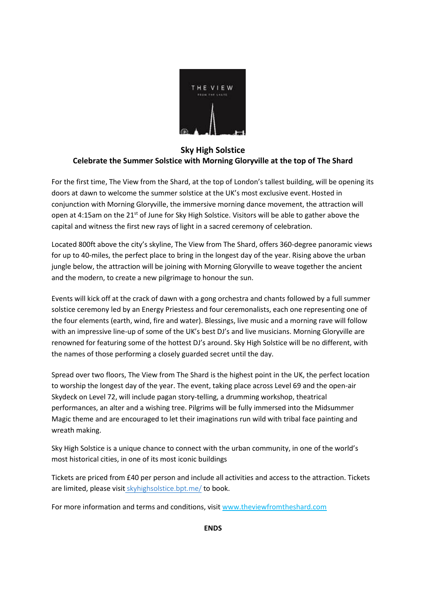

## **Sky High Solstice Celebrate the Summer Solstice with Morning Gloryville at the top of The Shard**

For the first time, The View from the Shard, at the top of London's tallest building, will be opening its doors at dawn to welcome the summer solstice at the UK's most exclusive event.Hosted in conjunction with Morning Gloryville, the immersive morning dance movement, the attraction will open at 4:15am on the 21<sup>st</sup> of June for Sky High Solstice. Visitors will be able to gather above the capital and witness the first new rays of light in a sacred ceremony of celebration.

Located 800ft above the city's skyline, The View from The Shard, offers 360-degree panoramic views for up to 40-miles, the perfect place to bring in the longest day of the year. Rising above the urban jungle below, the attraction will be joining with Morning Gloryville to weave together the ancient and the modern, to create a new pilgrimage to honour the sun.

Events will kick off at the crack of dawn with a gong orchestra and chants followed by a full summer solstice ceremony led by an Energy Priestess and four ceremonalists, each one representing one of the four elements (earth, wind, fire and water). Blessings, live music and a morning rave will follow with an impressive line-up of some of the UK's best DJ's and live musicians. Morning Gloryville are renowned for featuring some of the hottest DJ's around. Sky High Solstice will be no different, with the names of those performing a closely guarded secret until the day.

Spread over two floors, The View from The Shard is the highest point in the UK, the perfect location to worship the longest day of the year. The event, taking place across Level 69 and the open-air Skydeck on Level 72, will include pagan story-telling, a drumming workshop, theatrical performances, an alter and a wishing tree. Pilgrims will be fully immersed into the Midsummer Magic theme and are encouraged to let their imaginations run wild with tribal face painting and wreath making.

Sky High Solstice is a unique chance to connect with the urban community, in one of the world's most historical cities, in one of its most iconic buildings

Tickets are priced from £40 per person and include all activities and access to the attraction. Tickets are limited, please visit [skyhighsolstice.bpt.me/](http://skyhighsolstice.bpt.me/) to book.

For more information and terms and conditions, visi[t www.theviewfromtheshard.com](http://www.theviewfromtheshard.com/)